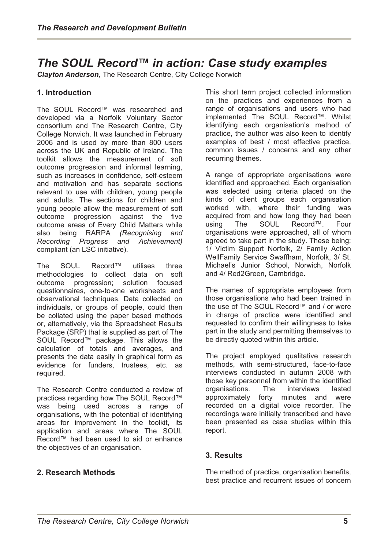# *The SOUL Record™ in action: Case study examples*

*Clayton Anderson*, The Research Centre, City College Norwich

# **1. Introduction**

The SOUL Record™ was researched and developed via a Norfolk Voluntary Sector consortium and The Research Centre, City College Norwich. It was launched in February 2006 and is used by more than 800 users across the UK and Republic of Ireland. The toolkit allows the measurement of soft outcome progression and informal learning, such as increases in confidence, self-esteem and motivation and has separate sections relevant to use with children, young people and adults. The sections for children and young people allow the measurement of soft outcome progression against the five outcome areas of Every Child Matters while also being RARPA *(Recognising and Recording Progress and Achievement)* compliant (an LSC initiative).

The SOUL Record™ utilises three methodologies to collect data on soft outcome progression; solution focused questionnaires, one-to-one worksheets and observational techniques. Data collected on individuals, or groups of people, could then be collated using the paper based methods or, alternatively, via the Spreadsheet Results Package (SRP) that is supplied as part of The SOUL Record™ package. This allows the calculation of totals and averages, and presents the data easily in graphical form as evidence for funders, trustees, etc. as required.

The Research Centre conducted a review of practices regarding how The SOUL Record™ was being used across a range of organisations, with the potential of identifying areas for improvement in the toolkit, its application and areas where The SOUL Record™ had been used to aid or enhance the objectives of an organisation.

## **2. Research Methods**

This short term project collected information on the practices and experiences from a range of organisations and users who had implemented The SOUL Record™. Whilst identifying each organisation's method of practice, the author was also keen to identify examples of best / most effective practice, common issues / concerns and any other recurring themes.

A range of appropriate organisations were identified and approached. Each organisation was selected using criteria placed on the kinds of client groups each organisation worked with, where their funding was acquired from and how long they had been using The SOUL Record™. Four organisations were approached, all of whom agreed to take part in the study. These being; 1/ Victim Support Norfolk, 2/ Family Action WellFamily Service Swaffham, Norfolk, 3/ St. Michael's Junior School, Norwich, Norfolk and 4/ Red2Green, Cambridge.

The names of appropriate employees from those organisations who had been trained in the use of The SOUL Record™ and / or were in charge of practice were identified and requested to confirm their willingness to take part in the study and permitting themselves to be directly quoted within this article.

The project employed qualitative research methods, with semi-structured, face-to-face interviews conducted in autumn 2008 with those key personnel from within the identified organisations. The interviews lasted approximately forty minutes and were recorded on a digital voice recorder. The recordings were initially transcribed and have been presented as case studies within this report.

# **3. Results**

The method of practice, organisation benefits, best practice and recurrent issues of concern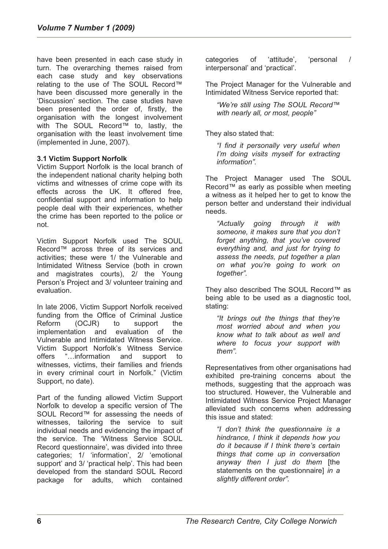have been presented in each case study in turn. The overarching themes raised from each case study and key observations relating to the use of The SOUL Record™ have been discussed more generally in the 'Discussion' section. The case studies have been presented the order of, firstly, the organisation with the longest involvement with The SOUL Record™ to, lastly, the organisation with the least involvement time (implemented in June, 2007).

## **3.1 Victim Support Norfolk**

Victim Support Norfolk is the local branch of the independent national charity helping both victims and witnesses of crime cope with its effects across the UK. It offered free, confidential support and information to help people deal with their experiences, whether the crime has been reported to the police or not.

Victim Support Norfolk used The SOUL Record™ across three of its services and activities; these were 1/ the Vulnerable and Intimidated Witness Service (both in crown and magistrates courts), 2/ the Young Person's Project and 3/ volunteer training and evaluation.

In late 2006, Victim Support Norfolk received funding from the Office of Criminal Justice Reform (OCJR) to support the implementation and evaluation of the Vulnerable and Intimidated Witness Service. Victim Support Norfolk's Witness Service offers "…information and support to witnesses, victims, their families and friends in every criminal court in Norfolk." (Victim Support, no date).

Part of the funding allowed Victim Support Norfolk to develop a specific version of The SOUL Record™ for assessing the needs of witnesses, tailoring the service to suit individual needs and evidencing the impact of the service. The 'Witness Service SOUL Record questionnaire', was divided into three categories; 1/ 'information', 2/ 'emotional support' and 3/ 'practical help'. This had been developed from the standard SOUL Record package for adults, which contained

categories of 'attitude', 'personal / interpersonal' and 'practical'.

The Project Manager for the Vulnerable and Intimidated Witness Service reported that:

*"We're still using The SOUL Record™ with nearly all, or most, people"* 

They also stated that:

*"I find it personally very useful when I'm doing visits myself for extracting information".* 

The Project Manager used The SOUL Record™ as early as possible when meeting a witness as it helped her to get to know the person better and understand their individual needs.

*"Actually going through it with someone, it makes sure that you don't forget anything, that you've covered everything and, and just for trying to assess the needs, put together a plan on what you're going to work on together".* 

They also described The SOUL Record™ as being able to be used as a diagnostic tool, stating:

*"It brings out the things that they're most worried about and when you know what to talk about as well and where to focus your support with them".* 

Representatives from other organisations had exhibited pre-training concerns about the methods, suggesting that the approach was too structured. However, the Vulnerable and Intimidated Witness Service Project Manager alleviated such concerns when addressing this issue and stated:

*"I don't think the questionnaire is a hindrance, I think it depends how you do it because if I think there's certain things that come up in conversation anyway then I just do them* [the statements on the questionnaire] *in a slightly different order".*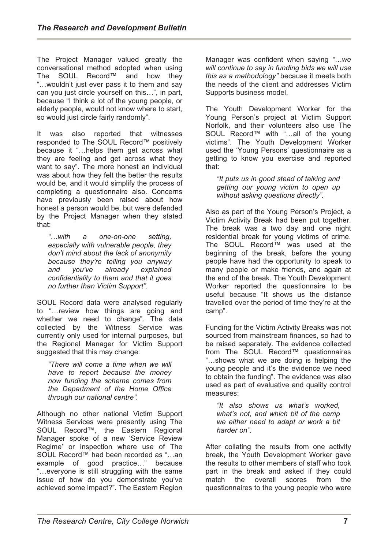The Project Manager valued greatly the conversational method adopted when using<br>The SOUL Record™ and how thev The SOUL Record™ "…wouldn't just ever pass it to them and say can you just circle yourself on this…", in part, because "I think a lot of the young people, or elderly people, would not know where to start, so would just circle fairly randomly".

It was also reported that witnesses responded to The SOUL Record™ positively because it "…helps them get across what they are feeling and get across what they want to say". The more honest an individual was about how they felt the better the results would be, and it would simplify the process of completing a questionnaire also. Concerns have previously been raised about how honest a person would be, but were defended by the Project Manager when they stated that:

*"…with a one-on-one setting, especially with vulnerable people, they don't mind about the lack of anonymity because they're telling you anyway and you've already explained confidentiality to them and that it goes no further than Victim Support".* 

SOUL Record data were analysed regularly to "…review how things are going and whether we need to change". The data collected by the Witness Service was currently only used for internal purposes, but the Regional Manager for Victim Support suggested that this may change:

*"There will come a time when we will have to report because the money now funding the scheme comes from the Department of the Home Office through our national centre".* 

Although no other national Victim Support Witness Services were presently using The SOUL Record™, the Eastern Regional Manager spoke of a new 'Service Review Regime' or inspection where use of The SOUL Record™ had been recorded as "…an example of good practice…" because "…everyone is still struggling with the same issue of how do you demonstrate you've achieved some impact?". The Eastern Region Manager was confident when saying *"…we will continue to say in funding bids we will use this as a methodology"* because it meets both the needs of the client and addresses Victim Supports business model.

The Youth Development Worker for the Young Person's project at Victim Support Norfolk, and their volunteers also use The SOUL Record™ with "…all of the young victims". The Youth Development Worker used the 'Young Persons' questionnaire as a getting to know you exercise and reported that:

*"It puts us in good stead of talking and getting our young victim to open up without asking questions directly".* 

Also as part of the Young Person's Project, a Victim Activity Break had been put together. The break was a two day and one night residential break for young victims of crime. The SOUL Record™ was used at the beginning of the break, before the young people have had the opportunity to speak to many people or make friends, and again at the end of the break. The Youth Development Worker reported the questionnaire to be useful because "It shows us the distance travelled over the period of time they're at the camp".

Funding for the Victim Activity Breaks was not sourced from mainstream finances, so had to be raised separately. The evidence collected from The SOUL Record™ questionnaires "…shows what we are doing is helping the young people and it's the evidence we need to obtain the funding". The evidence was also used as part of evaluative and quality control measures:

*"It also shows us what's worked, what's not, and which bit of the camp we either need to adapt or work a bit harder on".* 

After collating the results from one activity break, the Youth Development Worker gave the results to other members of staff who took part in the break and asked if they could match the overall scores from the questionnaires to the young people who were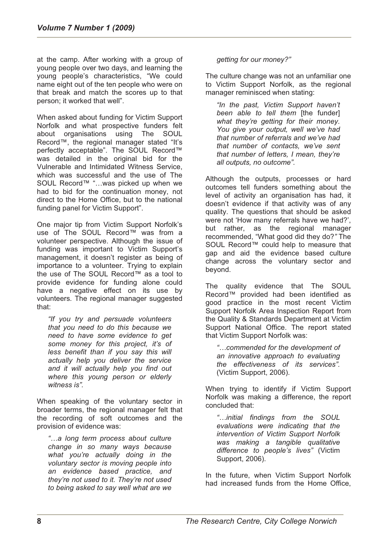at the camp. After working with a group of young people over two days, and learning the young people's characteristics, "We could name eight out of the ten people who were on that break and match the scores up to that person; it worked that well".

When asked about funding for Victim Support Norfolk and what prospective funders felt about organisations using The SOUL Record™, the regional manager stated "It's perfectly acceptable". The SOUL Record™ was detailed in the original bid for the Vulnerable and Intimidated Witness Service, which was successful and the use of The SOUL Record™ "…was picked up when we had to bid for the continuation money, not direct to the Home Office, but to the national funding panel for Victim Support".

One major tip from Victim Support Norfolk's use of The SOUL Record™ was from a volunteer perspective. Although the issue of funding was important to Victim Support's management, it doesn't register as being of importance to a volunteer. Trying to explain the use of The SOUL Record™ as a tool to provide evidence for funding alone could have a negative effect on its use by volunteers*.* The regional manager suggested that:

*"If you try and persuade volunteers that you need to do this because we need to have some evidence to get some money for this project, it's of less benefit than if you say this will actually help you deliver the service and it will actually help you find out where this young person or elderly witness is".* 

When speaking of the voluntary sector in broader terms, the regional manager felt that the recording of soft outcomes and the provision of evidence was:

*"…a long term process about culture change in so many ways because what you're actually doing in the voluntary sector is moving people into an evidence based practice, and they're not used to it. They're not used to being asked to say well what are we* 

*getting for our money?"* 

The culture change was not an unfamiliar one to Victim Support Norfolk, as the regional manager reminisced when stating:

*"In the past, Victim Support haven't been able to tell them* [the funder] *what they're getting for their money. You give your output, well we've had that number of referrals and we've had that number of contacts, we've sent that number of letters, I mean, they're all outputs, no outcome".* 

Although the outputs, processes or hard outcomes tell funders something about the level of activity an organisation has had, it doesn't evidence if that activity was of any quality. The questions that should be asked were not 'How many referrals have we had?', but rather, as the regional manager recommended, "What good did they do?*"* The SOUL Record™ could help to measure that gap and aid the evidence based culture change across the voluntary sector and beyond.

The quality evidence that The SOUL Record™ provided had been identified as good practice in the most recent Victim Support Norfolk Area Inspection Report from the Quality & Standards Department at Victim Support National Office. The report stated that Victim Support Norfolk was:

*"…commended for the development of an innovative approach to evaluating the effectiveness of its services".*  (Victim Support, 2006).

When trying to identify if Victim Support Norfolk was making a difference, the report concluded that:

*"…initial findings from the SOUL evaluations were indicating that the intervention of Victim Support Norfolk was making a tangible qualitative difference to people's lives"* (Victim Support, 2006).

In the future, when Victim Support Norfolk had increased funds from the Home Office,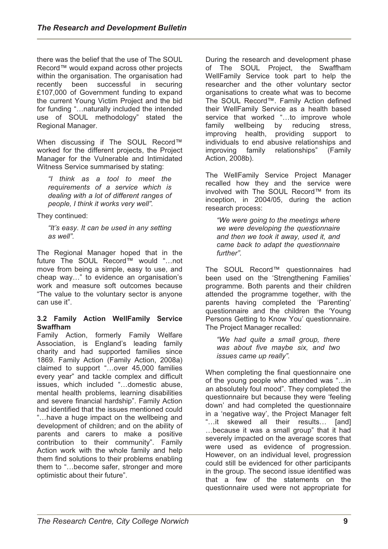there was the belief that the use of The SOUL Record™ would expand across other projects within the organisation. The organisation had recently been successful in securing £107,000 of Government funding to expand the current Young Victim Project and the bid for funding "…naturally included the intended use of SOUL methodology" stated the Regional Manager.

When discussing if The SOUL Record™ worked for the different projects, the Project Manager for the Vulnerable and Intimidated Witness Service summarised by stating:

*"I think as a tool to meet the requirements of a service which is dealing with a lot of different ranges of people, I think it works very well".* 

They continued:

*"It's easy. It can be used in any setting as well".* 

The Regional Manager hoped that in the future The SOUL Record™ would "…not move from being a simple, easy to use, and cheap way…" to evidence an organisation's work and measure soft outcomes because "The value to the voluntary sector is anyone can use it".

#### **3.2 Family Action WellFamily Service Swaffham**

Family Action, formerly Family Welfare Association, is England's leading family charity and had supported families since 1869. Family Action (Family Action, 2008a) claimed to support "…over 45,000 families every year" and tackle complex and difficult issues, which included "…domestic abuse, mental health problems, learning disabilities and severe financial hardship". Family Action had identified that the issues mentioned could "…have a huge impact on the wellbeing and development of children; and on the ability of parents and carers to make a positive contribution to their community". Family Action work with the whole family and help them find solutions to their problems enabling them to "…become safer, stronger and more optimistic about their future".

During the research and development phase of The SOUL Project, the Swaffham WellFamily Service took part to help the researcher and the other voluntary sector organisations to create what was to become The SOUL Record™. Family Action defined their WellFamily Service as a health based service that worked "...to improve whole family wellbeing by reducing stress, improving health, providing support to individuals to end abusive relationships and<br>improving family relationships" (Family family relationships" (Family Action, 2008b).

The WellFamily Service Project Manager recalled how they and the service were involved with The SOUL Record™ from its inception, in 2004/05, during the action research process:

*"We were going to the meetings where we were developing the questionnaire and then we took it away, used it, and came back to adapt the questionnaire further".* 

The SOUL Record™ questionnaires had been used on the 'Strengthening Families' programme. Both parents and their children attended the programme together, with the parents having completed the 'Parenting' questionnaire and the children the 'Young Persons Getting to Know You' questionnaire. The Project Manager recalled:

*"We had quite a small group, there was about five maybe six, and two issues came up really".* 

When completing the final questionnaire one of the young people who attended was "…in an absolutely foul mood". They completed the questionnaire but because they were 'feeling down' and had completed the questionnaire in a 'negative way', the Project Manager felt "…it skewed all their results… [and] …because it was a small group" that it had severely impacted on the average scores that were used as evidence of progression. However, on an individual level, progression could still be evidenced for other participants in the group. The second issue identified was that a few of the statements on the questionnaire used were not appropriate for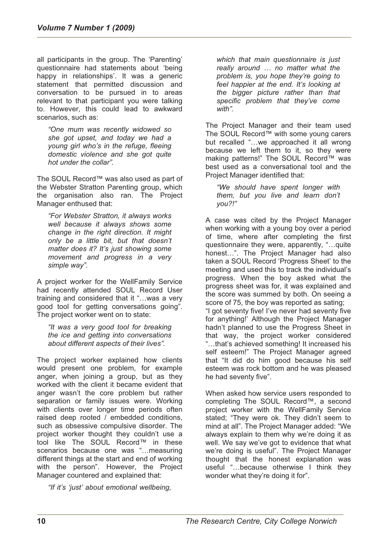all participants in the group. The 'Parenting' questionnaire had statements about 'being happy in relationships'. It was a generic statement that permitted discussion and conversation to be pursued in to areas relevant to that participant you were talking to. However, this could lead to awkward scenarios, such as:

*"One mum was recently widowed so she got upset, and today we had a young girl who's in the refuge, fleeing domestic violence and she got quite hot under the collar".* 

The SOUL Record™ was also used as part of the Webster Stratton Parenting group, which the organisation also ran. The Project Manager enthused that:

*"For Webster Stratton, it always works well because it always shows some change in the right direction. It might only be a little bit, but that doesn't matter does it? It's just showing some movement and progress in a very simple way".* 

A project worker for the WellFamily Service had recently attended SOUL Record User training and considered that it "…was a very good tool for getting conversations going". The project worker went on to state:

*"It was a very good tool for breaking the ice and getting into conversations about different aspects of their lives".* 

The project worker explained how clients would present one problem, for example anger, when joining a group, but as they worked with the client it became evident that anger wasn't the core problem but rather separation or family issues were. Working with clients over longer time periods often raised deep rooted / embedded conditions, such as obsessive compulsive disorder. The project worker thought they couldn't use a tool like The SOUL Record™ in these scenarios because one was "…measuring different things at the start and end of working with the person". However, the Project Manager countered and explained that:

*"If it's 'just' about emotional wellbeing,* 

*which that main questionnaire is just really around … no matter what the problem is, you hope they're going to feel happier at the end. It's looking at the bigger picture rather than that specific problem that they've come with".* 

The Project Manager and their team used The SOUL Record™ with some young carers but recalled "…we approached it all wrong because we left them to it, so they were making patterns!" The SOUL Record™ was best used as a conversational tool and the Project Manager identified that:

*"We should have spent longer with them, but you live and learn don't you?!"* 

A case was cited by the Project Manager when working with a young boy over a period of time, where after completing the first questionnaire they were, apparently, "…quite honest…". The Project Manager had also taken a SOUL Record 'Progress Sheet' to the meeting and used this to track the individual's progress. When the boy asked what the progress sheet was for, it was explained and the score was summed by both. On seeing a score of 75, the boy was reported as sating; "I got seventy five! I've never had seventy five for anything!' Although the Project Manager hadn't planned to use the Progress Sheet in that way, the project worker considered "…that's achieved something! It increased his self esteem!" The Project Manager agreed that "It did do him good because his self esteem was rock bottom and he was pleased he had seventy five".

When asked how service users responded to completing The SOUL Record™, a second project worker with the WellFamily Service stated; "They were ok. They didn't seem to mind at all". The Project Manager added: "We always explain to them why we're doing it as well. We say we've got to evidence that what we're doing is useful". The Project Manager thought that the honest explanation was useful "…because otherwise I think they wonder what they're doing it for".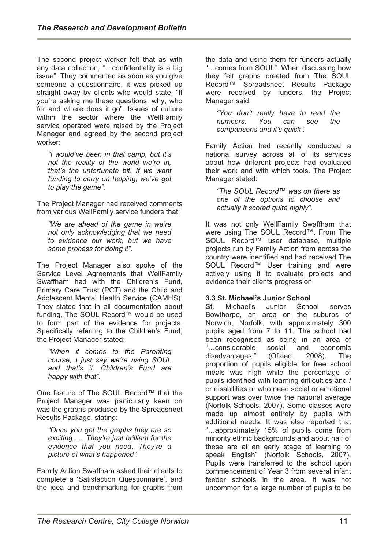The second project worker felt that as with any data collection, "…confidentiality is a big issue". They commented as soon as you give someone a questionnaire, it was picked up straight away by clients who would state: "If you're asking me these questions, why, who for and where does it go". Issues of culture within the sector where the WellFamily service operated were raised by the Project Manager and agreed by the second project worker:

*"I would've been in that camp, but it's not the reality of the world we're in, that's the unfortunate bit. If we want funding to carry on helping, we've got to play the game".* 

The Project Manager had received comments from various WellFamily service funders that:

*"We are ahead of the game in we're not only acknowledging that we need to evidence our work, but we have some process for doing it".* 

The Project Manager also spoke of the Service Level Agreements that WellFamily Swaffham had with the Children's Fund, Primary Care Trust (PCT) and the Child and Adolescent Mental Health Service (CAMHS). They stated that in all documentation about funding, The SOUL Record™ would be used to form part of the evidence for projects. Specifically referring to the Children's Fund, the Project Manager stated:

*"When it comes to the Parenting course, I just say we're using SOUL and that's it. Children's Fund are happy with that".* 

One feature of The SOUL Record™ that the Project Manager was particularly keen on was the graphs produced by the Spreadsheet Results Package, stating:

*"Once you get the graphs they are so exciting. … They're just brilliant for the evidence that you need. They're a picture of what's happened".* 

Family Action Swaffham asked their clients to complete a 'Satisfaction Questionnaire', and the idea and benchmarking for graphs from the data and using them for funders actually "…comes from SOUL". When discussing how they felt graphs created from The SOUL Record™ Spreadsheet Results Package were received by funders, the Project Manager said:

*"You don't really have to read the numbers. You can see the comparisons and it's quick".* 

Family Action had recently conducted a national survey across all of its services about how different projects had evaluated their work and with which tools. The Project Manager stated:

*"The SOUL Record™ was on there as one of the options to choose and actually it scored quite highly".* 

It was not only WellFamily Swaffham that were using The SOUL Record™. From The SOUL Record™ user database, multiple projects run by Family Action from across the country were identified and had received The SOUL Record™ User training and were actively using it to evaluate projects and evidence their clients progression.

## **3.3 St. Michael's Junior School**

St. Michael's Junior School serves Bowthorpe, an area on the suburbs of Norwich, Norfolk, with approximately 300 pupils aged from 7 to 11. The school had been recognised as being in an area of "…considerable social and economic disadvantages." (Ofsted, 2008). The proportion of pupils eligible for free school meals was high while the percentage of pupils identified with learning difficulties and / or disabilities or who need social or emotional support was over twice the national average (Norfolk Schools, 2007). Some classes were made up almost entirely by pupils with additional needs. It was also reported that "…approximately 15% of pupils come from minority ethnic backgrounds and about half of these are at an early stage of learning to speak English" (Norfolk Schools, 2007). Pupils were transferred to the school upon commencement of Year 3 from several infant feeder schools in the area. It was not uncommon for a large number of pupils to be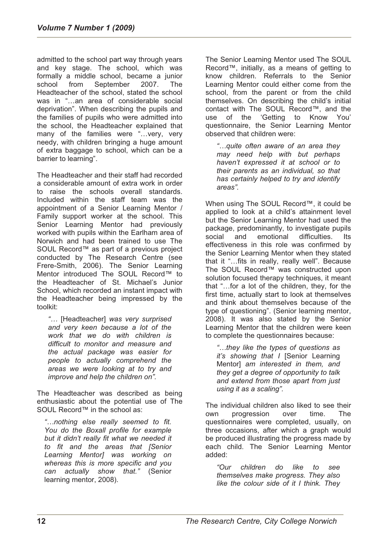admitted to the school part way through years and key stage. The school, which was formally a middle school, became a junior school from September 2007. The Headteacher of the school, stated the school was in "…an area of considerable social deprivation". When describing the pupils and the families of pupils who were admitted into the school, the Headteacher explained that many of the families were "...very, very needy, with children bringing a huge amount of extra baggage to school, which can be a barrier to learning".

The Headteacher and their staff had recorded a considerable amount of extra work in order to raise the schools overall standards. Included within the staff team was the appointment of a Senior Learning Mentor / Family support worker at the school. This Senior Learning Mentor had previously worked with pupils within the Earlham area of Norwich and had been trained to use The SOUL Record™ as part of a previous project conducted by The Research Centre (see Frere-Smith, 2006). The Senior Learning Mentor introduced The SOUL Record™ to the Headteacher of St. Michael's Junior School, which recorded an instant impact with the Headteacher being impressed by the toolkit:

*"…* [Headteacher] *was very surprised and very keen because a lot of the work that we do with children is difficult to monitor and measure and the actual package was easier for people to actually comprehend the areas we were looking at to try and improve and help the children on".* 

The Headteacher was described as being enthusiastic about the potential use of The SOUL Record™ in the school as:

*"…nothing else really seemed to fit. You do the Boxall profile for example but it didn't really fit what we needed it to fit and the areas that [Senior Learning Mentor] was working on whereas this is more specific and you can actually show that."* (Senior learning mentor, 2008).

The Senior Learning Mentor used The SOUL Record™, initially, as a means of getting to know children. Referrals to the Senior Learning Mentor could either come from the school, from the parent or from the child themselves. On describing the child's initial contact with The SOUL Record™, and the use of the 'Getting to Know You' questionnaire, the Senior Learning Mentor observed that children were:

*"…quite often aware of an area they may need help with but perhaps haven't expressed it at school or to their parents as an individual, so that has certainly helped to try and identify areas".* 

When using The SOUL Record™, it could be applied to look at a child's attainment level but the Senior Learning Mentor had used the package, predominantly, to investigate pupils social and emotional difficulties. Its effectiveness in this role was confirmed by the Senior Learning Mentor when they stated that it "…fits in really, really well". Because The SOUL Record™ was constructed upon solution focused therapy techniques, it meant that "…for a lot of the children, they, for the first time, actually start to look at themselves and think about themselves because of the type of questioning". (Senior learning mentor, 2008). It was also stated by the Senior Learning Mentor that the children were keen to complete the questionnaires because:

*"…they like the types of questions as it's showing that I* [Senior Learning Mentor] *am interested in them, and they get a degree of opportunity to talk and extend from those apart from just using it as a scaling".* 

The individual children also liked to see their own progression over time. The questionnaires were completed, usually, on three occasions, after which a graph would be produced illustrating the progress made by each child. The Senior Learning Mentor added:

*"Our children do like to see themselves make progress. They also like the colour side of it I think. They*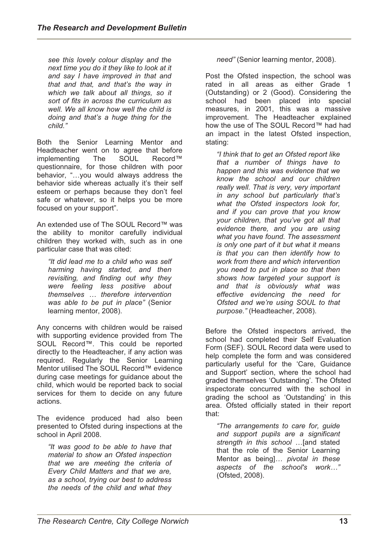*see this lovely colour display and the next time you do it they like to look at it and say I have improved in that and that and that, and that's the way in which we talk about all things, so it sort of fits in across the curriculum as well. We all know how well the child is doing and that's a huge thing for the child."* 

Both the Senior Learning Mentor and Headteacher went on to agree that before<br>implementing The SOUL Record™ implementing The SOUL questionnaire, for those children with poor behavior, "…you would always address the behavior side whereas actually it's their self esteem or perhaps because they don't feel safe or whatever, so it helps you be more focused on your support".

An extended use of The SOUL Record™ was the ability to monitor carefully individual children they worked with, such as in one particular case that was cited:

*"It did lead me to a child who was self harming having started, and then revisiting, and finding out why they were feeling less positive about themselves … therefore intervention was able to be put in place"* (Senior learning mentor, 2008).

Any concerns with children would be raised with supporting evidence provided from The SOUL Record™. This could be reported directly to the Headteacher, if any action was required. Regularly the Senior Learning Mentor utilised The SOUL Record™ evidence during case meetings for guidance about the child, which would be reported back to social services for them to decide on any future actions.

The evidence produced had also been presented to Ofsted during inspections at the school in April 2008.

*"It was good to be able to have that material to show an Ofsted inspection that we are meeting the criteria of Every Child Matters and that we are, as a school, trying our best to address the needs of the child and what they* 

*need"* (Senior learning mentor, 2008).

Post the Ofsted inspection, the school was rated in all areas as either Grade 1 (Outstanding) or 2 (Good). Considering the school had been placed into special measures, in 2001, this was a massive improvement. The Headteacher explained how the use of The SOUL Record™ had had an impact in the latest Ofsted inspection, stating:

*"I think that to get an Ofsted report like that a number of things have to happen and this was evidence that we know the school and our children really well. That is very, very important in any school but particularly that's what the Ofsted inspectors look for, and if you can prove that you know your children, that you've got all that evidence there, and you are using what you have found. The assessment is only one part of it but what it means is that you can then identify how to work from there and which intervention you need to put in place so that then shows how targeted your support is and that is obviously what was effective evidencing the need for Ofsted and we're using SOUL to that purpose."* (Headteacher, 2008).

Before the Ofsted inspectors arrived, the school had completed their Self Evaluation Form (SEF). SOUL Record data were used to help complete the form and was considered particularly useful for the 'Care, Guidance and Support' section, where the school had graded themselves 'Outstanding'. The Ofsted inspectorate concurred with the school in grading the school as 'Outstanding' in this area. Ofsted officially stated in their report that:

*"The arrangements to care for, guide and support pupils are a significant strength in this school* …[and stated that the role of the Senior Learning Mentor as being]*… pivotal in these aspects of the school's work…"*  (Ofsted, 2008).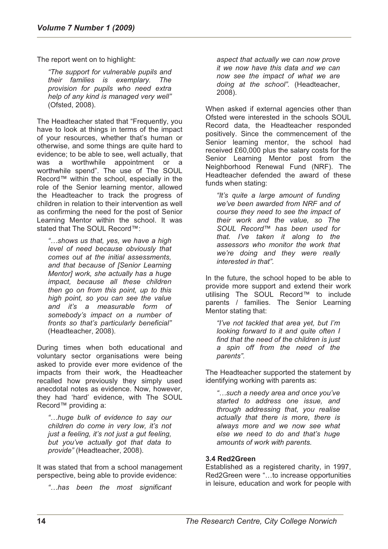The report went on to highlight:

*"The support for vulnerable pupils and their families is exemplary. The provision for pupils who need extra help of any kind is managed very well"*  (Ofsted, 2008).

The Headteacher stated that "Frequently, you have to look at things in terms of the impact of your resources, whether that's human or otherwise, and some things are quite hard to evidence; to be able to see, well actually, that was a worthwhile appointment or a worthwhile spend". The use of The SOUL Record™ within the school, especially in the role of the Senior learning mentor, allowed the Headteacher to track the progress of children in relation to their intervention as well as confirming the need for the post of Senior Learning Mentor within the school. It was stated that The SOUL Record™:

*"…shows us that, yes, we have a high level of need because obviously that comes out at the initial assessments, and that because of [Senior Learning Mentor] work, she actually has a huge impact, because all these children then go on from this point, up to this high point, so you can see the value and it's a measurable form of somebody's impact on a number of fronts so that's particularly beneficial"*  (Headteacher, 2008).

During times when both educational and voluntary sector organisations were being asked to provide ever more evidence of the impacts from their work, the Headteacher recalled how previously they simply used anecdotal notes as evidence. Now, however, they had 'hard' evidence, with The SOUL Record™ providing a:

*"…huge bulk of evidence to say our children do come in very low, it's not just a feeling, it's not just a gut feeling, but you've actually got that data to provide"* (Headteacher, 2008).

It was stated that from a school management perspective, being able to provide evidence:

*"…has been the most significant* 

*aspect that actually we can now prove it we now have this data and we can now see the impact of what we are doing at the school".* (Headteacher, 2008).

When asked if external agencies other than Ofsted were interested in the schools SOUL Record data, the Headteacher responded positively. Since the commencement of the Senior learning mentor, the school had received £60,000 plus the salary costs for the Senior Learning Mentor post from the Neighborhood Renewal Fund (NRF). The Headteacher defended the award of these funds when stating:

*"It's quite a large amount of funding we've been awarded from NRF and of course they need to see the impact of their work and the value, so The SOUL Record™ has been used for that. I've taken it along to the assessors who monitor the work that we're doing and they were really interested in that".* 

In the future, the school hoped to be able to provide more support and extend their work utilising The SOUL Record™ to include parents / families. The Senior Learning Mentor stating that:

*"I've not tackled that area yet, but I'm looking forward to it and quite often I find that the need of the children is just a spin off from the need of the parents".* 

The Headteacher supported the statement by identifying working with parents as:

*"…such a needy area and once you've started to address one issue, and through addressing that, you realise actually that there is more, there is always more and we now see what else we need to do and that's huge amounts of work with parents.* 

#### **3.4 Red2Green**

Established as a registered charity, in 1997, Red2Green were "…to increase opportunities in leisure, education and work for people with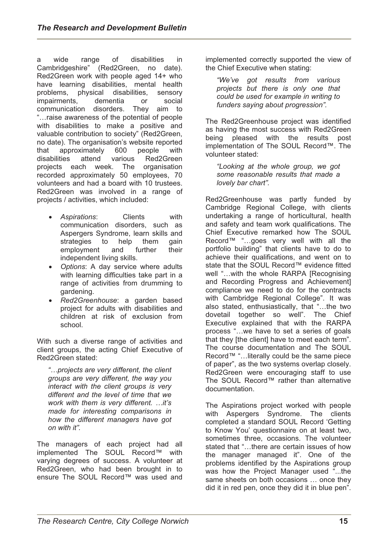a wide range of disabilities in Cambridgeshire" (Red2Green, no date). Red2Green work with people aged 14+ who have learning disabilities, mental health problems, physical disabilities, sensory impairments, dementia or social communication disorders. They aim to "…raise awareness of the potential of people with disabilities to make a positive and valuable contribution to society" (Red2Green, no date). The organisation's website reported that approximately 600 people with disabilities attend various Red2Green projects each week. The organisation recorded approximately 50 employees, 70 volunteers and had a board with 10 trustees. Red2Green was involved in a range of projects / activities, which included:

- *Aspirations*: Clients with communication disorders, such as Aspergers Syndrome, learn skills and strategies to help them gain employment and further their independent living skills.
- *Options*: A day service where adults with learning difficulties take part in a range of activities from drumming to gardening.
- *Red2Greenhouse*: a garden based project for adults with disabilities and children at risk of exclusion from school.

With such a diverse range of activities and client groups, the acting Chief Executive of Red2Green stated:

*"…projects are very different, the client groups are very different, the way you interact with the client groups is very different and the level of time that we work with them is very different. …it's made for interesting comparisons in how the different managers have got on with it".* 

The managers of each project had all implemented The SOUL Record™ with varying degrees of success. A volunteer at Red2Green, who had been brought in to ensure The SOUL Record™ was used and

implemented correctly supported the view of the Chief Executive when stating:

*"We've got results from various projects but there is only one that could be used for example in writing to funders saying about progression".* 

The Red2Greenhouse project was identified as having the most success with Red2Green being pleased with the results post implementation of The SOUL Record™. The volunteer stated:

*"Looking at the whole group, we got some reasonable results that made a lovely bar chart".* 

Red2Greenhouse was partly funded by Cambridge Regional College, with clients undertaking a range of horticultural, health and safety and team work qualifications. The Chief Executive remarked how The SOUL Record™ "…goes very well with all the portfolio building" that clients have to do to achieve their qualifications, and went on to state that the SOUL Record™ evidence fitted well "…with the whole RARPA [Recognising and Recording Progress and Achievement] compliance we need to do for the contracts with Cambridge Regional College". It was also stated, enthusiastically, that "…the two dovetail together so well". The Chief Executive explained that with the RARPA process "…we have to set a series of goals that they [the client] have to meet each term". The course documentation and The SOUL Record™ "…literally could be the same piece of paper", as the two systems overlap closely. Red2Green were encouraging staff to use The SOUL Record™ rather than alternative documentation.

The Aspirations project worked with people with Aspergers Syndrome. The clients completed a standard SOUL Record 'Getting to Know You' questionnaire on at least two, sometimes three, occasions. The volunteer stated that "…there are certain issues of how the manager managed it". One of the problems identified by the Aspirations group was how the Project Manager used "...the same sheets on both occasions … once they did it in red pen, once they did it in blue pen".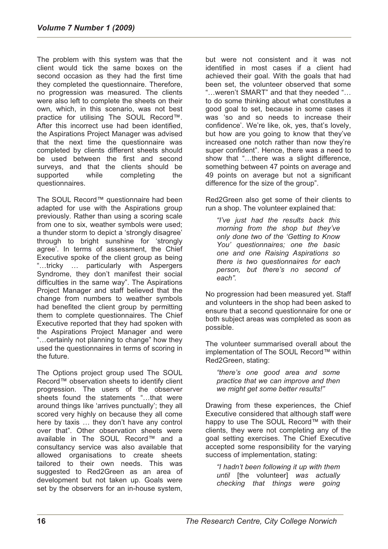The problem with this system was that the client would tick the same boxes on the second occasion as they had the first time they completed the questionnaire. Therefore, no progression was measured. The clients were also left to complete the sheets on their own, which, in this scenario, was not best practice for utilising The SOUL Record™. After this incorrect use had been identified, the Aspirations Project Manager was advised that the next time the questionnaire was completed by clients different sheets should be used between the first and second surveys, and that the clients should be supported while completing the questionnaires.

The SOUL Record™ questionnaire had been adapted for use with the Aspirations group previously. Rather than using a scoring scale from one to six, weather symbols were used; a thunder storm to depict a 'strongly disagree' through to bright sunshine for 'strongly agree'. In terms of assessment, the Chief Executive spoke of the client group as being "…tricky … particularly with Aspergers Syndrome, they don't manifest their social difficulties in the same way". The Aspirations Project Manager and staff believed that the change from numbers to weather symbols had benefited the client group by permitting them to complete questionnaires. The Chief Executive reported that they had spoken with the Aspirations Project Manager and were "…certainly not planning to change" how they used the questionnaires in terms of scoring in the future.

The Options project group used The SOUL Record™ observation sheets to identify client progression. The users of the observer sheets found the statements " that were around things like 'arrives punctually'; they all scored very highly on because they all come here by taxis … they don't have any control over that". Other observation sheets were available in The SOUL Record™ and a consultancy service was also available that allowed organisations to create sheets tailored to their own needs. This was suggested to Red2Green as an area of development but not taken up. Goals were set by the observers for an in-house system,

but were not consistent and it was not identified in most cases if a client had achieved their goal. With the goals that had been set, the volunteer observed that some "…weren't SMART" and that they needed "… to do some thinking about what constitutes a good goal to set, because in some cases it was 'so and so needs to increase their confidence'. We're like, ok, yes, that's lovely, but how are you going to know that they've increased one notch rather than now they're super confident". Hence, there was a need to show that "…there was a slight difference, something between 47 points on average and 49 points on average but not a significant difference for the size of the group".

Red2Green also get some of their clients to run a shop. The volunteer explained that:

*"I've just had the results back this morning from the shop but they've only done two of the 'Getting to Know You' questionnaires; one the basic one and one Raising Aspirations so there is two questionnaires for each person, but there's no second of each".* 

No progression had been measured yet. Staff and volunteers in the shop had been asked to ensure that a second questionnaire for one or both subject areas was completed as soon as possible.

The volunteer summarised overall about the implementation of The SOUL Record™ within Red2Green, stating:

*"there's one good area and some practice that we can improve and then we might get some better results!"* 

Drawing from these experiences, the Chief Executive considered that although staff were happy to use The SOUL Record™ with their clients, they were not completing any of the goal setting exercises. The Chief Executive accepted some responsibility for the varying success of implementation, stating:

*"I hadn't been following it up with them until* [the volunteer] *was actually checking that things were going*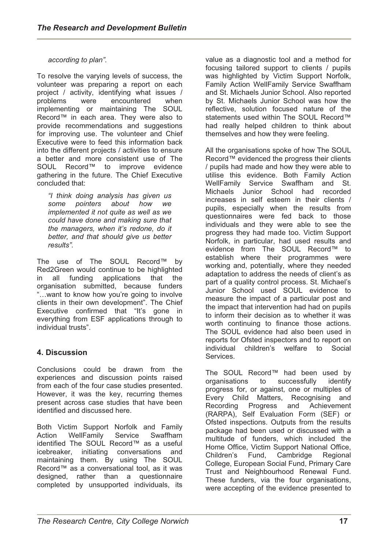## *according to plan".*

To resolve the varying levels of success, the volunteer was preparing a report on each project / activity, identifying what issues / problems were encountered when implementing or maintaining The SOUL Record™ in each area. They were also to provide recommendations and suggestions for improving use. The volunteer and Chief Executive were to feed this information back into the different projects / activities to ensure a better and more consistent use of The SOUL Record™ to improve evidence gathering in the future. The Chief Executive concluded that:

*"I think doing analysis has given us some pointers about how we implemented it not quite as well as we could have done and making sure that the managers, when it's redone, do it better, and that should give us better results".* 

The use of The SOUL Record™ by Red2Green would continue to be highlighted in all funding applications that the organisation submitted, because funders "…want to know how you're going to involve clients in their own development". The Chief Executive confirmed that "It's gone in everything from ESF applications through to individual trusts".

# **4. Discussion**

Conclusions could be drawn from the experiences and discussion points raised from each of the four case studies presented. However, it was the key, recurring themes present across case studies that have been identified and discussed here.

Both Victim Support Norfolk and Family Action WellFamily Service Swaffham identified The SOUL Record™ as a useful icebreaker, initiating conversations and maintaining them. By using The SOUL Record™ as a conversational tool, as it was designed, rather than a questionnaire completed by unsupported individuals, its

value as a diagnostic tool and a method for focusing tailored support to clients / pupils was highlighted by Victim Support Norfolk, Family Action WellFamily Service Swaffham and St. Michaels Junior School. Also reported by St. Michaels Junior School was how the reflective, solution focused nature of the statements used within The SOUL Record™ had really helped children to think about themselves and how they were feeling.

All the organisations spoke of how The SOUL Record™ evidenced the progress their clients / pupils had made and how they were able to utilise this evidence. Both Family Action WellFamily Service Swaffham and St. Michaels Junior School had recorded increases in self esteem in their clients / pupils, especially when the results from questionnaires were fed back to those individuals and they were able to see the progress they had made too. Victim Support Norfolk, in particular, had used results and evidence from The SOUL Record™ to establish where their programmes were working and, potentially, where they needed adaptation to address the needs of client's as part of a quality control process. St. Michael's Junior School used SOUL evidence to measure the impact of a particular post and the impact that intervention had had on pupils to inform their decision as to whether it was worth continuing to finance those actions. The SOUL evidence had also been used in reports for Ofsted inspectors and to report on individual children's welfare to Social **Services** 

The SOUL Record™ had been used by<br>organisations to successfully identify organisations to successfully identify progress for, or against, one or multiples of Every Child Matters, Recognising and Recording Progress and Achievement (RARPA), Self Evaluation Form (SEF) or Ofsted inspections. Outputs from the results package had been used or discussed with a multitude of funders, which included the Home Office, Victim Support National Office, Children's Fund, Cambridge Regional College, European Social Fund, Primary Care Trust and Neighbourhood Renewal Fund. These funders, via the four organisations, were accepting of the evidence presented to